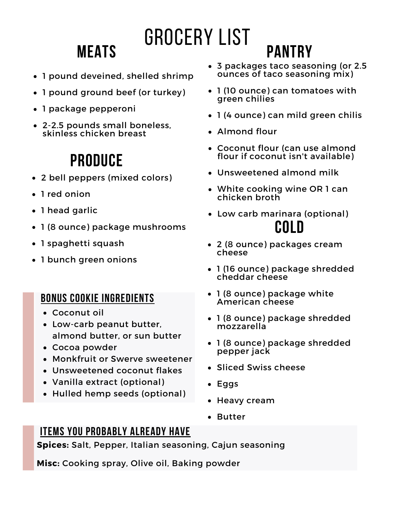## **Meats**

# Grocery List

- 1 pound deveined, shelled shrimp
- 1 pound ground beef (or turkey)
- 1 package pepperoni
- 2-2.5 pounds small boneless, skinless chicken breast

### **Produce**

- 2 bell peppers (mixed colors)
- 1 red onion
- 1 head garlic
- 1 (8 ounce) package mushrooms
- 1 spaghetti squash
- 1 bunch green onions

#### **Bonus cookie ingredients**

- Coconut oil
- Low-carb peanut butter, almond butter, or sun butter
- Cocoa powder
- Monkfruit or Swerve sweetener
- Unsweetened coconut flakes
- Vanilla extract (optional)
- Hulled hemp seeds (optional)

3 packages taco seasoning (or 2.5 ounces of taco seasoning mix)

**Pantry**

- 1 (10 ounce) can tomatoes with green chilies
- 1 (4 ounce) can mild green chilis
- Almond flour
- Coconut flour (can use almond flour if coconut isn't available)
- Unsweetened almond milk
- White cooking wine OR 1 can chicken broth
- Low carb marinara (optional) **Cold**
- 2 (8 ounce) packages cream cheese
- 1 (16 ounce) package shredded cheddar cheese
- 1 (8 ounce) package white American cheese
- 1 (8 ounce) package shredded mozzarella
- 1 (8 ounce) package shredded pepper jack
- Sliced Swiss cheese
- Eggs
- Heavy cream
- Butter

#### **Items you probably already have**

**Spices:** Salt, Pepper, Italian seasoning, Cajun seasoning

**Misc:** Cooking spray, Olive oil, Baking powder